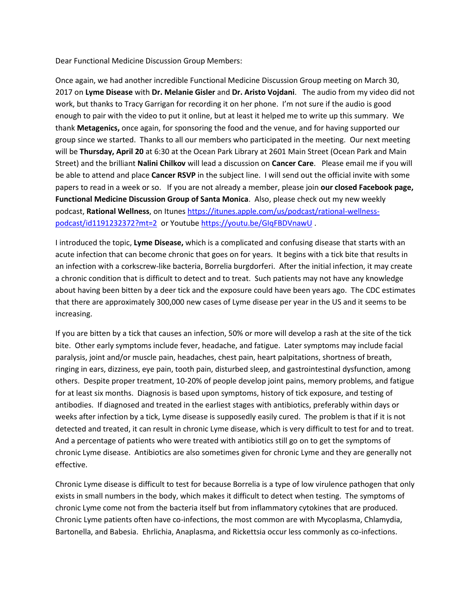Dear Functional Medicine Discussion Group Members:

Once again, we had another incredible Functional Medicine Discussion Group meeting on March 30, 2017 on **Lyme Disease** with **Dr. Melanie Gisler** and **Dr. Aristo Vojdani**. The audio from my video did not work, but thanks to Tracy Garrigan for recording it on her phone. I'm not sure if the audio is good enough to pair with the video to put it online, but at least it helped me to write up this summary. We thank **Metagenics,** once again, for sponsoring the food and the venue, and for having supported our group since we started. Thanks to all our members who participated in the meeting. Our next meeting will be **Thursday, April 20** at 6:30 at the Ocean Park Library at 2601 Main Street (Ocean Park and Main Street) and the brilliant **Nalini Chilkov** will lead a discussion on **Cancer Care**. Please email me if you will be able to attend and place **Cancer RSVP** in the subject line. I will send out the official invite with some papers to read in a week or so. If you are not already a member, please join **our closed Facebook page, Functional Medicine Discussion Group of Santa Monica**. Also, please check out my new weekly podcast, **Rational Wellness**, on Itunes [https://itunes.apple.com/us/podcast/rational-wellness](https://itunes.apple.com/us/podcast/rational-wellness-podcast/id1191232372?mt=2)[podcast/id1191232372?mt=2](https://itunes.apple.com/us/podcast/rational-wellness-podcast/id1191232372?mt=2) or Youtube <https://youtu.be/GIqFBDVnawU> .

I introduced the topic, **Lyme Disease,** which is a complicated and confusing disease that starts with an acute infection that can become chronic that goes on for years. It begins with a tick bite that results in an infection with a corkscrew-like bacteria, Borrelia burgdorferi. After the initial infection, it may create a chronic condition that is difficult to detect and to treat. Such patients may not have any knowledge about having been bitten by a deer tick and the exposure could have been years ago. The CDC estimates that there are approximately 300,000 new cases of Lyme disease per year in the US and it seems to be increasing.

If you are bitten by a tick that causes an infection, 50% or more will develop a rash at the site of the tick bite. Other early symptoms include fever, headache, and fatigue. Later symptoms may include facial paralysis, joint and/or muscle pain, headaches, chest pain, heart palpitations, shortness of breath, ringing in ears, dizziness, eye pain, tooth pain, disturbed sleep, and gastrointestinal dysfunction, among others. Despite proper treatment, 10-20% of people develop joint pains, memory problems, and fatigue for at least six months. Diagnosis is based upon symptoms, history of tick exposure, and testing of antibodies. If diagnosed and treated in the earliest stages with antibiotics, preferably within days or weeks after infection by a tick, Lyme disease is supposedly easily cured. The problem is that if it is not detected and treated, it can result in chronic Lyme disease, which is very difficult to test for and to treat. And a percentage of patients who were treated with antibiotics still go on to get the symptoms of chronic Lyme disease. Antibiotics are also sometimes given for chronic Lyme and they are generally not effective.

Chronic Lyme disease is difficult to test for because Borrelia is a type of low virulence pathogen that only exists in small numbers in the body, which makes it difficult to detect when testing. The symptoms of chronic Lyme come not from the bacteria itself but from inflammatory cytokines that are produced. Chronic Lyme patients often have co-infections, the most common are with Mycoplasma, Chlamydia, Bartonella, and Babesia. Ehrlichia, Anaplasma, and Rickettsia occur less commonly as co-infections.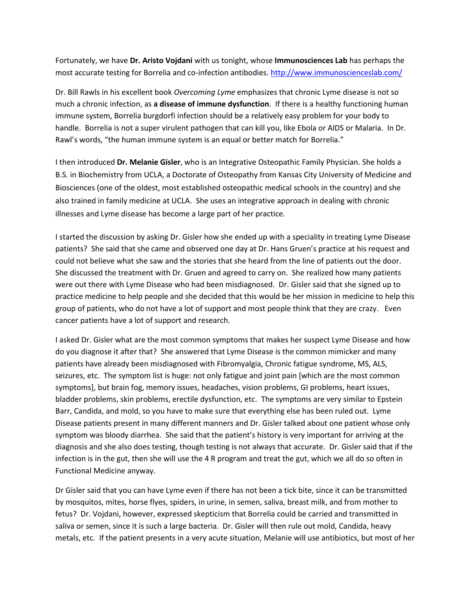Fortunately, we have **Dr. Aristo Vojdani** with us tonight, whose **Immunosciences Lab** has perhaps the most accurate testing for Borrelia and co-infection antibodies. <http://www.immunoscienceslab.com/>

Dr. Bill Rawls in his excellent book *Overcoming Lyme* emphasizes that chronic Lyme disease is not so much a chronic infection, as **a disease of immune dysfunction**. If there is a healthy functioning human immune system, Borrelia burgdorfi infection should be a relatively easy problem for your body to handle. Borrelia is not a super virulent pathogen that can kill you, like Ebola or AIDS or Malaria. In Dr. Rawl's words, "the human immune system is an equal or better match for Borrelia."

I then introduced **Dr. Melanie Gisler**, who is an Integrative Osteopathic Family Physician. She holds a B.S. in Biochemistry from UCLA, a Doctorate of Osteopathy from Kansas City University of Medicine and Biosciences (one of the oldest, most established osteopathic medical schools in the country) and she also trained in family medicine at UCLA. She uses an integrative approach in dealing with chronic illnesses and Lyme disease has become a large part of her practice.

I started the discussion by asking Dr. Gisler how she ended up with a speciality in treating Lyme Disease patients? She said that she came and observed one day at Dr. Hans Gruen's practice at his request and could not believe what she saw and the stories that she heard from the line of patients out the door. She discussed the treatment with Dr. Gruen and agreed to carry on. She realized how many patients were out there with Lyme Disease who had been misdiagnosed. Dr. Gisler said that she signed up to practice medicine to help people and she decided that this would be her mission in medicine to help this group of patients, who do not have a lot of support and most people think that they are crazy. Even cancer patients have a lot of support and research.

I asked Dr. Gisler what are the most common symptoms that makes her suspect Lyme Disease and how do you diagnose it after that? She answered that Lyme Disease is the common mimicker and many patients have already been misdiagnosed with Fibromyalgia, Chronic fatigue syndrome, MS, ALS, seizures, etc. The symptom list is huge: not only fatigue and joint pain [which are the most common symptoms], but brain fog, memory issues, headaches, vision problems, GI problems, heart issues, bladder problems, skin problems, erectile dysfunction, etc. The symptoms are very similar to Epstein Barr, Candida, and mold, so you have to make sure that everything else has been ruled out. Lyme Disease patients present in many different manners and Dr. Gisler talked about one patient whose only symptom was bloody diarrhea. She said that the patient's history is very important for arriving at the diagnosis and she also does testing, though testing is not always that accurate. Dr. Gisler said that if the infection is in the gut, then she will use the 4 R program and treat the gut, which we all do so often in Functional Medicine anyway.

Dr Gisler said that you can have Lyme even if there has not been a tick bite, since it can be transmitted by mosquitos, mites, horse flyes, spiders, in urine, in semen, saliva, breast milk, and from mother to fetus? Dr. Vojdani, however, expressed skepticism that Borrelia could be carried and transmitted in saliva or semen, since it is such a large bacteria. Dr. Gisler will then rule out mold, Candida, heavy metals, etc. If the patient presents in a very acute situation, Melanie will use antibiotics, but most of her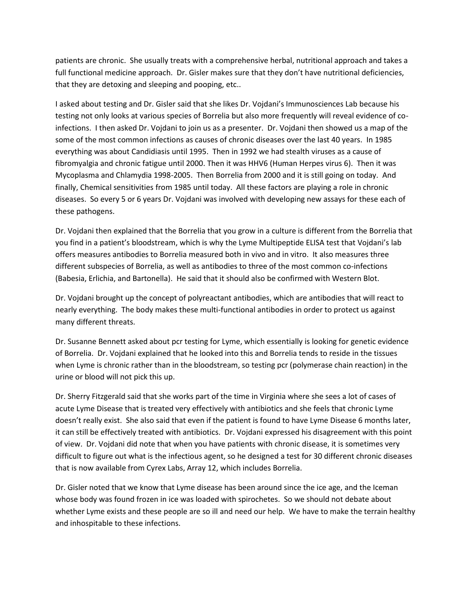patients are chronic. She usually treats with a comprehensive herbal, nutritional approach and takes a full functional medicine approach. Dr. Gisler makes sure that they don't have nutritional deficiencies, that they are detoxing and sleeping and pooping, etc..

I asked about testing and Dr. Gisler said that she likes Dr. Vojdani's Immunosciences Lab because his testing not only looks at various species of Borrelia but also more frequently will reveal evidence of coinfections. I then asked Dr. Vojdani to join us as a presenter. Dr. Vojdani then showed us a map of the some of the most common infections as causes of chronic diseases over the last 40 years. In 1985 everything was about Candidiasis until 1995. Then in 1992 we had stealth viruses as a cause of fibromyalgia and chronic fatigue until 2000. Then it was HHV6 (Human Herpes virus 6). Then it was Mycoplasma and Chlamydia 1998-2005. Then Borrelia from 2000 and it is still going on today. And finally, Chemical sensitivities from 1985 until today. All these factors are playing a role in chronic diseases. So every 5 or 6 years Dr. Vojdani was involved with developing new assays for these each of these pathogens.

Dr. Vojdani then explained that the Borrelia that you grow in a culture is different from the Borrelia that you find in a patient's bloodstream, which is why the Lyme Multipeptide ELISA test that Vojdani's lab offers measures antibodies to Borrelia measured both in vivo and in vitro. It also measures three different subspecies of Borrelia, as well as antibodies to three of the most common co-infections (Babesia, Erlichia, and Bartonella). He said that it should also be confirmed with Western Blot.

Dr. Vojdani brought up the concept of polyreactant antibodies, which are antibodies that will react to nearly everything. The body makes these multi-functional antibodies in order to protect us against many different threats.

Dr. Susanne Bennett asked about pcr testing for Lyme, which essentially is looking for genetic evidence of Borrelia. Dr. Vojdani explained that he looked into this and Borrelia tends to reside in the tissues when Lyme is chronic rather than in the bloodstream, so testing pcr (polymerase chain reaction) in the urine or blood will not pick this up.

Dr. Sherry Fitzgerald said that she works part of the time in Virginia where she sees a lot of cases of acute Lyme Disease that is treated very effectively with antibiotics and she feels that chronic Lyme doesn't really exist. She also said that even if the patient is found to have Lyme Disease 6 months later, it can still be effectively treated with antibiotics. Dr. Vojdani expressed his disagreement with this point of view. Dr. Vojdani did note that when you have patients with chronic disease, it is sometimes very difficult to figure out what is the infectious agent, so he designed a test for 30 different chronic diseases that is now available from Cyrex Labs, Array 12, which includes Borrelia.

Dr. Gisler noted that we know that Lyme disease has been around since the ice age, and the Iceman whose body was found frozen in ice was loaded with spirochetes. So we should not debate about whether Lyme exists and these people are so ill and need our help. We have to make the terrain healthy and inhospitable to these infections.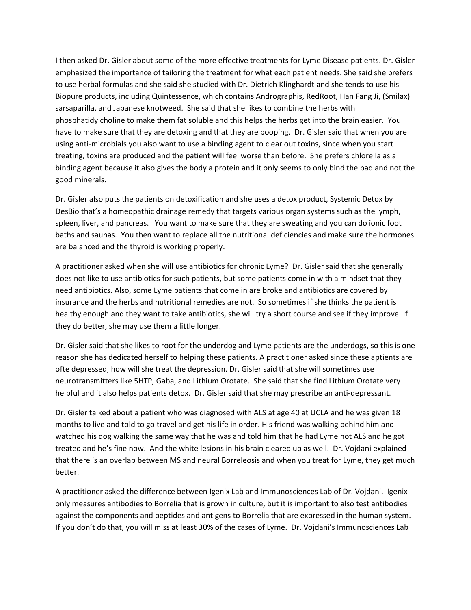I then asked Dr. Gisler about some of the more effective treatments for Lyme Disease patients. Dr. Gisler emphasized the importance of tailoring the treatment for what each patient needs. She said she prefers to use herbal formulas and she said she studied with Dr. Dietrich Klinghardt and she tends to use his Biopure products, including Quintessence, which contains Andrographis, RedRoot, Han Fang Ji, (Smilax) sarsaparilla, and Japanese knotweed. She said that she likes to combine the herbs with phosphatidylcholine to make them fat soluble and this helps the herbs get into the brain easier. You have to make sure that they are detoxing and that they are pooping. Dr. Gisler said that when you are using anti-microbials you also want to use a binding agent to clear out toxins, since when you start treating, toxins are produced and the patient will feel worse than before. She prefers chlorella as a binding agent because it also gives the body a protein and it only seems to only bind the bad and not the good minerals.

Dr. Gisler also puts the patients on detoxification and she uses a detox product, Systemic Detox by DesBio that's a homeopathic drainage remedy that targets various organ systems such as the lymph, spleen, liver, and pancreas. You want to make sure that they are sweating and you can do ionic foot baths and saunas. You then want to replace all the nutritional deficiencies and make sure the hormones are balanced and the thyroid is working properly.

A practitioner asked when she will use antibiotics for chronic Lyme? Dr. Gisler said that she generally does not like to use antibiotics for such patients, but some patients come in with a mindset that they need antibiotics. Also, some Lyme patients that come in are broke and antibiotics are covered by insurance and the herbs and nutritional remedies are not. So sometimes if she thinks the patient is healthy enough and they want to take antibiotics, she will try a short course and see if they improve. If they do better, she may use them a little longer.

Dr. Gisler said that she likes to root for the underdog and Lyme patients are the underdogs, so this is one reason she has dedicated herself to helping these patients. A practitioner asked since these aptients are ofte depressed, how will she treat the depression. Dr. Gisler said that she will sometimes use neurotransmitters like 5HTP, Gaba, and Lithium Orotate. She said that she find Lithium Orotate very helpful and it also helps patients detox. Dr. Gisler said that she may prescribe an anti-depressant.

Dr. Gisler talked about a patient who was diagnosed with ALS at age 40 at UCLA and he was given 18 months to live and told to go travel and get his life in order. His friend was walking behind him and watched his dog walking the same way that he was and told him that he had Lyme not ALS and he got treated and he's fine now. And the white lesions in his brain cleared up as well. Dr. Vojdani explained that there is an overlap between MS and neural Borreleosis and when you treat for Lyme, they get much better.

A practitioner asked the difference between Igenix Lab and Immunosciences Lab of Dr. Vojdani. Igenix only measures antibodies to Borrelia that is grown in culture, but it is important to also test antibodies against the components and peptides and antigens to Borrelia that are expressed in the human system. If you don't do that, you will miss at least 30% of the cases of Lyme. Dr. Vojdani's Immunosciences Lab